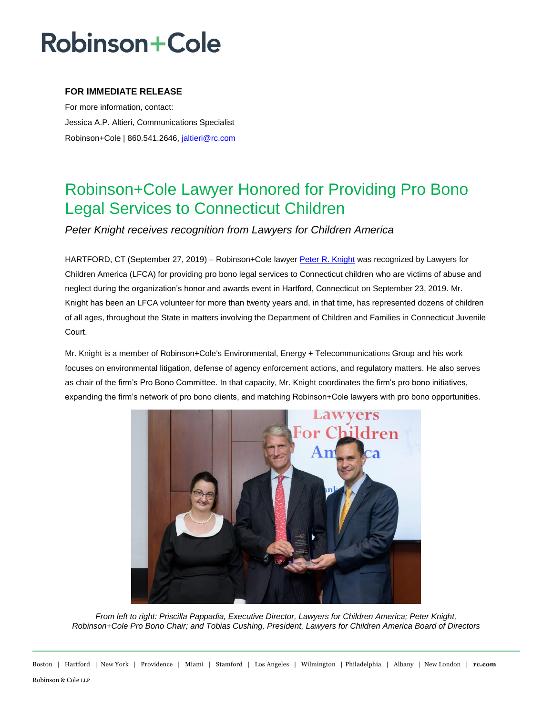## **Robinson+Cole**

### **FOR IMMEDIATE RELEASE**

For more information, contact: Jessica A.P. Altieri, Communications Specialist Robinson+Cole | 860.541.2646, [jaltieri@rc.com](mailto:jaltieri@rc.com)

### Robinson+Cole Lawyer Honored for Providing Pro Bono Legal Services to Connecticut Children

*Peter Knight receives recognition from Lawyers for Children America*

HARTFORD, CT (September 27, 2019) – Robinson+Cole lawyer [Peter R. Knight](http://www.rc.com/people/PeterRKnight.cfm) was recognized by Lawyers for Children America (LFCA) for providing pro bono legal services to Connecticut children who are victims of abuse and neglect during the organization's honor and awards event in Hartford, Connecticut on September 23, 2019. Mr. Knight has been an LFCA volunteer for more than twenty years and, in that time, has represented dozens of children of all ages, throughout the State in matters involving the Department of Children and Families in Connecticut Juvenile Court.

Mr. Knight is a member of Robinson+Cole's Environmental, Energy + Telecommunications Group and his work focuses on environmental litigation, defense of agency enforcement actions, and regulatory matters. He also serves as chair of the firm's Pro Bono Committee. In that capacity, Mr. Knight coordinates the firm's pro bono initiatives, expanding the firm's network of pro bono clients, and matching Robinson+Cole lawyers with pro bono opportunities.



*From left to right: Priscilla Pappadia, Executive Director, Lawyers for Children America; Peter Knight, Robinson+Cole Pro Bono Chair; and Tobias Cushing, President, Lawyers for Children America Board of Directors*

Boston | Hartford | New York | Providence | Miami | Stamford | Los Angeles | Wilmington | Philadelphia | Albany | New London | **rc.com** Robinson & Cole LLP